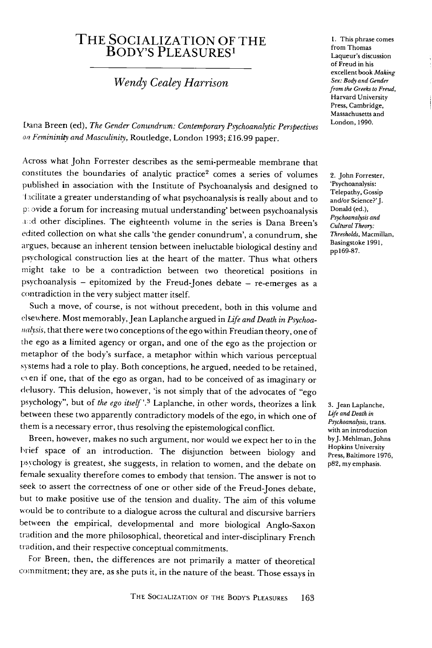## THE SOCIALIZATION OF THE Body's Pleasures1

**Wendy Cealey Harrison**

Dana Breen (ed), **The Gender Conundrum: Contemporary Psychoanalytic Perspectives** on Femininity and Masculinity, Routledge, London 1993; £16.99 paper.

Across what John Forrester describes as the semi-permeable membrane that constitutes the boundaries of analytic practice<sup>2</sup> comes a series of volumes published in association with the Institute of Psychoanalysis and designed to Incilitate a greater understanding of what psychoanalysis is really about and to p: ovide a forum for increasing mutual understanding' between psychoanalysis and other disciplines. The eighteenth volume in the series is Dana Breen's edited collection on what she calls 'the gender conundrum', a conundrum, she argues, because an inherent tension between ineluctable biological destiny and psychological construction lies at the heart of the matter. Thus what others might take to be a contradiction between two theoretical positions in psychoanalysis - epitomized by the Freud-Jones debate - re-emerges as a contradiction in the very subject matter itself.

Such a move, of course, is not without precedent, both in this volume and elsewhere. Most memorably,Jean Laplanche argued in**Life and Death in Psychoa** *nalysis*, that there were two conceptions of the ego within Freudian theory, one of the ego as a limited agency or organ, and one of the ego as the projection or metaphor of the body's surface, a metaphor within which various perceptual systems had a role to play. Both conceptions, he argued, needed to be retained, e\en if one, that of the ego as organ, had to be conceived of asimaginary or delusory. This delusion, however, 'is not simply that of the advocates of "ego psychology", but of **the ego itself'.3** Laplanche, in other words, theorizes a link between these two apparently contradictory models of the ego, in which one of them is a necessary error, thus resolving the epistemological conflict.

Breen, however, makes no such argument, nor would we expect her to in the brief space of an introduction. The disjunction between biology and psychology is greatest, she suggests, in relation to women, and the debate on female sexuality therefore comes to embody that tension. The answer is not to seek to assert the correctness of one or other side of the Freud-Jones debate, but to make positive use of the tension and duality. The aim of this volume would be to contribute to a dialogue across the cultural and discursive barriers between the empirical, developmental and more biological Anglo-Saxon tradition and themore philosophical, theoretical and inter-disciplinary French tradition, and their respective conceptual commitments.

For Breen, then, the differences are not primarily a matter of theoretical commitment; they are, as she puts it, in the nature of the beast. Those essays in 1. This phrase comes from Thomas Laqueur's discussion of Freud in his excellent book **Making Sex:Bodyand Gender** from the Greeks to Freud, Harvard University Press, Cambridge, Massachusetts and London,1990.

2. John Forrester, 'Psychoanalysis: Telepathy, Gossip and/or Science?' J. Donald (ed.), **Psychoanalysis and CulturalTheory: Thresholds,** Macmillan, Basingstoke 1991, ppl69-87.

3. Jean Laplanche, **life andDeath in Psychoanalysis,** trans, with an introduction by J. Mehlman, Johns Hopkins University Press, Baltimore 1976, p82, my emphasis.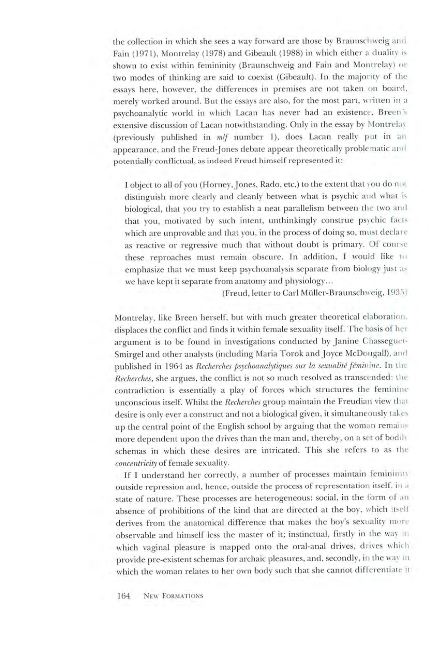the collection in which she sees a way forward are those by Braunschweig and Fain (1971), Montrelay (1978) and Gibeault (1988) in which either a duality is shown to exist within femininity (Braunschweig and Fain and Montrelay) or two modes of thinking are said to coexist (Gibeault). In the majority of the essays here, however, the differences in premises are not taken on board, merely worked around. But the essays are also, for the most part, written in a psychoanalytic world in which Lacan has never had an existence, Breen s extensive discussion of Lacan notwithstanding. Only in the essay by Montrelay (previously published in **mlf** number 1), does Lacan really put in an appearance, and the Freud-Jones debate appear theoretically problematic and potentially conflictual, as indeed Freud himself represented it:

I object to all of you (Horney, Jones, Rado, etc.) to the extent that you do mot distinguish more clearly and cleanly between what is psychic and what is biological, that you try to establish a neat parallelism between the two and that you, motivated by such intent, unthinkingly construe psychic facts which are unprovable and that you, in the process of doing so, must declare as reactive or regressive much that without doubt is primary. Of course these reproaches must remain obscure. In addition, I would like to emphasize that we must keep psychoanalysis separate from biology just as we have kept it separate from anatomy and physiology...

(Freud, letter to Carl Muller-Braunschweig, 1935)

Montrelay, like Breen herself, but with much greater theoretical elaboration, displaces the conflict and finds it within female sexuality itself. The basis of her argument is to be found in investigations conducted by Janine Chasseguet-Smirgel and other analysts (including Maria Torok and Joyce McDongall), and published in 1964 as **Recherches psychoanalytiques sur la sexualite femivne.** In the Recherches, she argues, the conflict is not so much resolved as transcended: the contradiction is essentially a play of forces which structures the feminine unconscious itself. Whilst the **Recherches** group maintain the Freudian view that desire is only ever a construct and not a biological given, it simultaneously takes up the central point of the English school by arguing that the woman remains more dependent upon the drives than the man and, thereby, on a set of bodily schemas in which these desires are intricated. This she refers to as the **concentricity** of female sexuality.

If I understand her correctly, a number of processes maintain femininin outside repression and, hence, outside the process of representation itself, in a state of nature. These processes are heterogeneous: social, in the form of an absence of prohibitions of the kind that are directed at the boy, which itself derives from the anatomical difference that makes the boy's sexuality mote observable and himself less the master of it; instinctual, firstly in the way in which vaginal pleasure is mapped onto the oral-anal drives, drives which provide pre-existent schemas for archaic pleasures, and, secondly, in the way in which the woman relates to her own body such that she cannot differentiate it

164 New Formations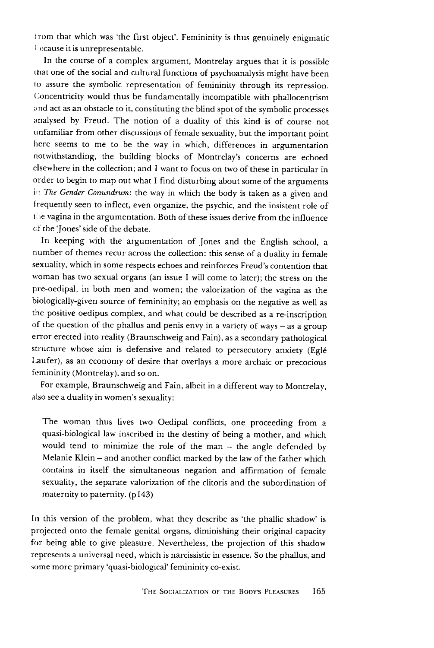lrom that which was 'the first object'. Femininity is thus genuinely enigmatic l ecause it is unrepresentable.

In the course of a complex argument, Montrelay argues that it is possible that one of the social and cultural functions of psychoanalysis might have been to assure the symbolic representation of femininity through its repression. Concentricity would thus be fundamentally incompatible with phallocentrism and act as an obstacle to it, constituting the blind spot of the symbolic processes analysed by Freud. The notion of a duality of this kind is of course not unfamiliar from other discussions of female sexuality, but the important point here seems to me to be the way in which, differences in argumentation notwithstanding, the building blocks of Montrelay's concerns are echoed elsewhere in the collection; and I want to focus on two of these in particular in order to begin to map out what I find disturbing about some of the arguments in The Gender Conundrum: the way in which the body is taken as a given and Irequently seen to inflect, even organize, the psychic, and the insistent role of the vagina in the argumentation. Both of these issues derive from the influence of the 'Jones' side ofthe debate.

In keeping with the argumentation of Jones and the English school, a number of themes recur across the collection: this sense of a duality in female sexuality, which in some respects echoes and reinforces Freud's contention that woman has two sexual organs (an issue I will come to later); the stress on the pre-oedipal, in both men and women; the valorization of the vagina as the biologically-given source of femininity; an emphasis on the negative as well as the positive oedipus complex, and what could be described as a re-inscription of the question of the phallus and penis envy in a variety of ways  $-$  as a group error erected into reality(Braunschweig and Fain), as a secondary pathological structure whose aim is defensive and related to persecutory anxiety (Eglé Laufer), as an economy of desire that overlays a more archaic or precocious femininity (Montrelay), and so on.

For example, Braunschweig and Fain, albeit in a different way to Montrelay, also see a duality in women's sexuality:

The woman thus lives two Oedipal conflicts, one proceeding from a quasi-biological law inscribed in the destiny of being a mother, and which would tend to minimize the role of the man - the angle defended by Melanie Klein – and another conflict marked by the law of the father which contains in itself the simultaneous negation and affirmation of female sexuality, the separate valorization of the clitoris and the subordination of maternity to paternity. (pl43)

In this version of the problem, what they describe as 'the phallic shadow' is projected onto the female genital organs, diminishing their original capacity for being able to give pleasure. Nevertheless, the projection of this shadow represents a universal need, which is narcissistic in essence. So the phallus, and some more primary 'quasi-biological' femininity co-exist.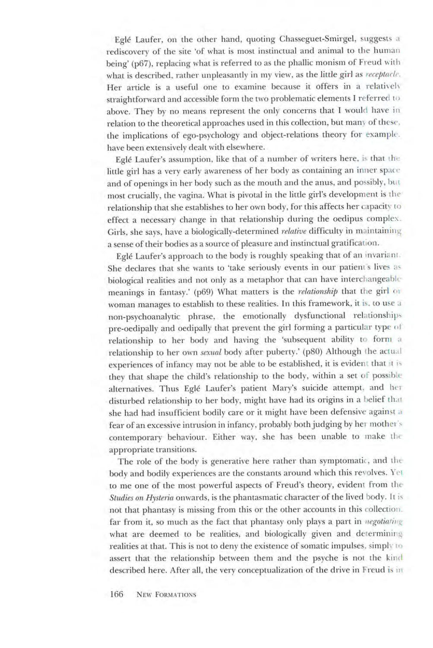Egle Laufer, on the other hand, quoting Chasseguet-Smirgel, suggests a rediscovery of the site 'of what is most instinctual and animal to the human being' (p67), replacing what is referred to as the phallic monism of Freud with what is described, rather unpleasantly in my view, as the little girl as **receptacle.** Her article is a useful one to examine because it offers in a relatively straightforward and accessible form the two problematic elements I referred to above. They by no means represent the only concerns that I would have in relation to the theoretical approaches used in this collection, but man\ of these, the implications of ego-psychology and object-relations theory for example, have been extensively dealt with elsewhere.

Egle Laufer's assumption, like that of a number of writers here, is that the little girl has a very early awareness of her body as containing an inner space and of openings in her body such as the mouth and the anus, and possibly, but most crucially, the vagina. What is pivotal in the little girl's development is the relationship that she establishes to her ownbody, for this affects her capacity to effect a necessary change in that relationship during the oedipus complex. Girls, she says, have a biologically-determined **relative** difficulty in maintaining a sense of their bodies as a source of pleasure and instinctual gratification.

Eglé Laufer's approach to the body is roughly speaking that of an invariant. She declares that she wants to 'take seriously events in our patient s lives as biological realities and not only as a metaphor that can have interchangeable meanings in fantasy.' (p69) What matters is the **relationship** that the girl <sup>01</sup> woman manages to establish to these realities. In this framework, it is, to use a non-psychoanalytic phrase, the emotionally dysfunctional relationships pre-oedipally and oedipally that prevent the girl forming a particular type of relationship to her body and having the 'subsequent ability to form a relationship to her own **sexual** body after puberty.' (p80) Although the actual experiences of infancy may not be able to be established, it is evident that :t **\** they that shape the child's relationship to the body, within a set of possible alternatives. Thus Egle Laufer's patient Mary's suicide attempt, and her disturbed relationship to her body, might have had its origins in a belief that she had had insufficient bodily care or it might have been defensive against a fear of an excessive intrusion in infancy, probably both judging by her mother's contemporary behaviour. Either way, she has been unable to make the appropriate transitions.

The role of the body is generative here rather than symptomatic, and the body and bodily experiences are the constants around which this revolves. Yet to me one of the most powerful aspects of Freud's theory, evident from the **Studies** on Hysteria onwards, is the phantasmatic character of the lived body. It is not that phantasy is missing from this or the other accounts in this collection, far from it, so much as the fact that phantasy only plays a part in **negotiating** what are deemed to be realities, and biologically given and determining realities at that. This is not to deny the existence of somatic impulses, simply to assert that the relationship between them and the psyche is not the kind described here. After all, the very conceptualization of the drive in Freud is in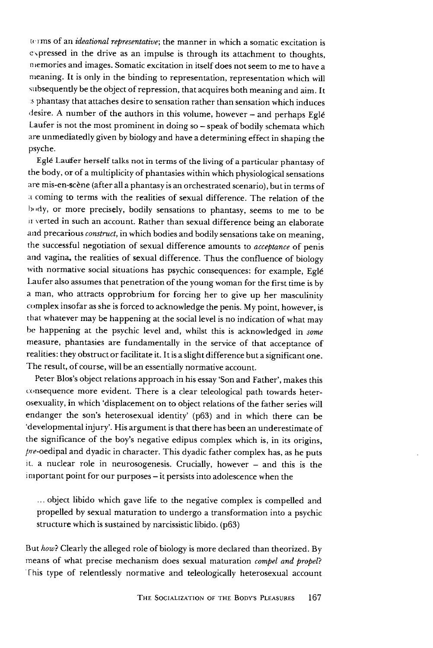terms of an **ideational representative',** the manner in which a somatic excitation is expressed in the drive as an impulse is through its attachment to thoughts, memories and images. Somatic excitation in itself does not seem to me to have a meaning. It is only in the binding to representation, representation which will subsequently be the object of repression, that acquires both meaning and aim. It s phantasy that attaches desire to sensation rather than sensation which induces desire. A number of the authors in this volume, however - and perhaps Eglé Laufer is not the most prominent in doing so - speak of bodily schemata which are unmediatedly given by biology and have a determining effect in shaping the psyche.

Eglé Laufer herself talks not in terms of the living of a particular phantasy of the body, or of a multiplicity of phantasies within which physiological sensations are mis-en-scene (after all a phantasy isan orchestrated scenario), but in terms of **d** coming to terms with the realities of sexual difference. The relation of the body, or more precisely, bodily sensations to phantasy, seems to me to be ir verted in such an account. Rather than sexual difference being an elaborate and precarious *construct*, in which bodies and bodily sensations take on meaning, the successful negotiation of sexual difference amounts to **acceptance** of penis and vagina, the realities of sexual difference. Thus the confluence of biology with normative social situations has psychic consequences: for example, Eglé Laufer also assumes that penetration of the young woman for the first time is by a man, who attracts opprobrium for forcing her to give up her masculinity complex insofar as she is forced to acknowledge the penis. My point, however, is that whatever may be happening at the social level is no indication of what may be happening at the psychic level and, whilst this is acknowledged in **some** measure, phantasies are fundamentally in the service of that acceptance of realities: they obstruct or facilitate it. It is a slight difference but a significant one. The result, of course, will be an essentially normative account.

Peter Blos's object relations approach in his essay 'Son and Father', makes this consequence more evident. There is a clear teleological path towards heterosexuality, in which 'displacement on to object relations of the father series will endanger the son's heterosexual identity' (p63) and in which there can be 'developmental injury'. His argument is that there has been an underestimate of the significance of the boy's negative edipus complex which is, in its origins, pre-oedipal and dyadic in character. This dyadic father complex has, as he puts it. a nuclear role in neurosogenesis. Crucially, however - and this is the important point for our purposes- it persists into adolescence when the

... object libido which gave life to the negative complex is compelled and propelled by sexual maturation to undergo a transformation into a psychic structure which is sustained by narcissistic libido. (p63)

But **how}** Clearly the alleged role of biology is more declared than theorized. By means of what precise mechanism does sexual maturation *compel and propel?* This type of relentlessly normative and teleologically heterosexual account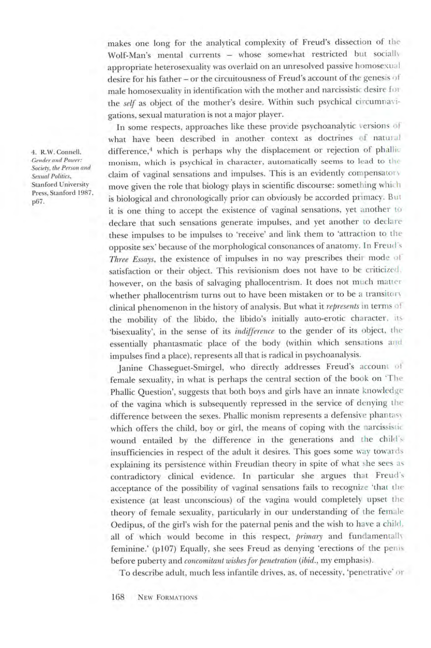makes one long for the analytical complexity of Freud's dissection of the Wolf-Man's mental currents - whose somewhat restricted but socially appropriate heterosexuality was overlaid on an unresolved passive homosexual desire for his father - or the circuitousness of Freud's account of the genesis of male homosexuality in identification with the mother and narcissistic desire for the **self** as object of the mother's desire. Within such psychical circumnavi gations, sexual maturation is not a major player.

In some respects, approaches like these provide psychoanalytic versions of what have been described in another context as doctrines of natural difference,<sup>4</sup> which is perhaps why the displacement or rejection of phallic monism, which is psychical in character, automatically seems to lead to the claim of vaginal sensations and impulses. This is an evidently compensator, move given the role that biology plays in scientific discourse: something which is biological and chronologically prior can obviously be accorded primacy. But it is one thing to accept the existence of vaginal sensations, yet another to declare that such sensations generate impulses, and yet another to declare these impulses to be impulses to 'receive' and link them to 'attraction to the opposite sex' because of themorphological consonances of anatomy. In Freud's **Three Essays,** the existence of impulses in no way prescribes their mode of satisfaction or their object. This revisionism does not have to be criticized. however, on the basis of salvaging phallocentrism. It does not much matter whether phallocentrism turns out to have been mistaken or to be a transitory clinical phenomenon in the history of analysis. Butwhat it **represents** in terms oi the mobility of the libido, the libido's initially auto-erotic character, us 'bisexuality', in the sense of its **indifference** to the gender of its object, the essentially phantasmatic place of the body (within which sensations and impulses find a place), represents all that is radical in psychoanalysis.

Janine Chasseguet-Smirgel, who directly addresses Freud's account of female sexuality, in what is perhaps the central section of the book on 'The Phallic Question', suggests that both boys and girls have an innate knowledge of the vagina which is subsequently repressed in the service of denying the difference between the sexes. Phallic monism represents a defensive phantasy which offers the child, boy or girl, the means of coping with the narcissistic wound entailed by the difference in the generations and the child's insufficiencies in respect of the adult it desires. This goes some way towards explaining its persistence within Freudian theory in spite of what she sees as contradictory clinical evidence. In particular she argues that Freud's acceptance of the possibility of vaginal sensations fails to recognize 'that the existence (at least unconscious) of the vagina would completely upset the theory of female sexuality, particularly in our understanding of the female Oedipus, of the girl's wish for the paternal penis and the wish to have a child, all of which would become in this respect, **primary** and fundamentally feminine.' (p107) Equally, she sees Freud as denying 'erections of the penis before puberty and *concomitant* wishes for penetration (ibid., my emphasis).

To describe adult, much less infantile drives, as, of necessity, 'penetrative' or

4. R.W. Connell, **Gender and Power: Society, the Person and Sexual Politics,** Stanford University *Press, Stanford 1987,* p67.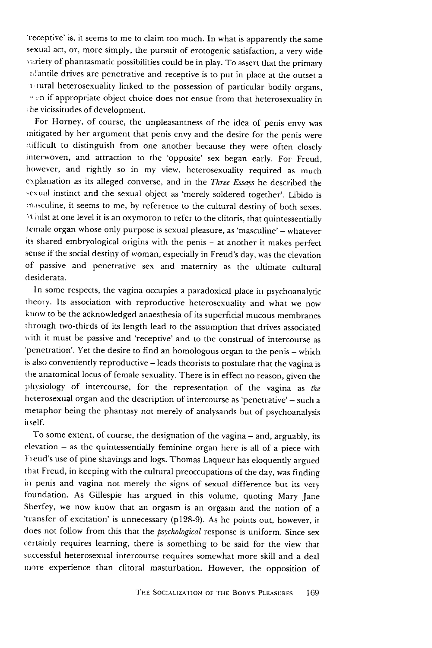'receptive' is, it seems to me to claim too much. In what is apparently the same sexual act, or, more simply, the pursuit of erotogenic satisfaction, a very wide variety of phantasmatic possibilities could be in play. To assert that the primary niantile drives are penetrative and receptive is to put in place at the outset a 1.1 ural heterosexuality linked to the possession of particular bodily organs,  $\cdot$  in if appropriate object choice does not ensue from that heterosexuality in :he vicissitudes of development.

For Horney, of course, the unpleasantness of the idea of penis envy was mitigated by her argument that penis envy and the desire for the penis were difficult to distinguish from one another because they were often closely interwoven, and attraction to the 'opposite' sex began early. For Freud, however, and rightly so in my view, heterosexuality required as much explanation as its alleged converse, and in the **Three Essays** he described the sexual instinct and the sexual object as 'merely soldered together'. Libido is masculine, it seems to me, by reference to the cultural destiny of both sexes. Whilst at one level it is an oxymoron to refer to the clitoris, that quintessentially female organ whose only purpose is sexual pleasure, as 'masculine' - whatever its shared embryological origins with the penis - at another it makes perfect sense if the social destiny of woman, especially in Freud's day, was the elevation of passive and penetrative sex and maternity as the ultimate cultural desiderata.

In some respects, the vagina occupies a paradoxical place in psychoanalytic theory. Its association with reproductive heterosexuality and what we now know to be the acknowledged anaesthesiaof itssuperficial mucous membranes through two-thirds of its length lead to the assumption that drives associated with it must be passive and 'receptive' and to the construal of intercourse as 'penetration'. Yet the desire to find an homologous organ to the penis - which is also conveniently reproductive - leads theorists to postulate that the vagina is the anatomical locus of female sexuality. There is in effect no reason, given the physiology of intercourse, for the representation of the vagina as **the** heterosexual organ and the description of intercourse as 'penetrative' - such a metaphor being the phantasy not merely of analysands but of psychoanalysis itself.

To some extent, of course, the designation of the vagina - and, arguably, its  $e$ levation  $-$  as the quintessentially feminine organ here is all of a piece with Fieud's use of pine shavings and logs. Thomas Laqueur has eloquently argued that Freud, in keeping with the cultural preoccupations of theday, was finding in penis and vagina not merely the signs of sexual difference but its very foundation. As Gillespie has argued in this volume, quoting Mary Jane Sherfey, we now know that an orgasm is an orgasm and the notion of a 'transfer of excitation' is unnecessary (pi28-9). As he points out, however, it does not follow from this that the **psychological** response is uniform. Since sex certainly requires learning, there is something to be said for the view that successful heterosexual intercourse requires somewhat more skill and a deal more experience than clitoral masturbation. However, the opposition of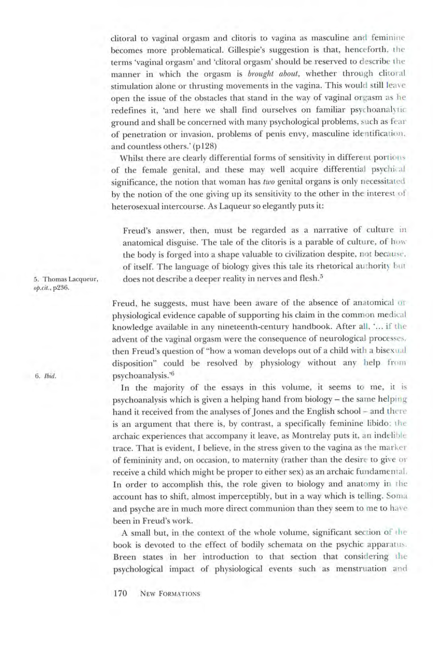clitoral to vaginal orgasm and clitoris to vagina as masculine and feminine becomes more problematical. Gillespie's suggestion is that, henceforth, the terms 'vaginal orgasm' and 'clitoral orgasm' should be reserved to describe the manner in which the orgasm is **brought about,** whether through clitoral stimulation alone or thrusting movements in the vagina. This would still leave open the issue of the obstacles that stand in the way of vaginal orgasm as he redefines it, 'and here we shall find ourselves on familiar psychoanalytic ground and shall be concerned with many psychological problems, such as fear of penetration or invasion, problems of penis envy, masculine identification, and countless others.' (pi28)

Whilst there are clearly differential forms of sensitivity in different portions of the female genital, and these may well acquire differential psychical significance, the notion that woman has**two** genital organs is only necessitated by the notion of the one giving up its sensitivity to the other in the interest of heterosexual intercourse. As Laqueur so elegantly puts it:

Freud's answer, then, must be regarded as a narrative of culture in anatomical disguise. The tale of the clitoris is a parable of culture, of how the body is forged into a shape valuable to civilization despite, not because, of itself. The language of biology gives this tale its rhetorical authority but 5. Thomas Lacqueur, does not describe a deeper reality in nerves and flesh.<sup>5</sup>

**op.at.,** p236.

Freud, he suggests, must have been aware of the absence of anatomical or physiological evidence capable of supporting his claim in the common medical knowledge available in any nineteenth-century handbook. After all, '... if the advent of the vaginal orgasm were the consequence of neurological processes, then Freud's question of "how a woman develops out of a child with a bisexual disposition" could be resolved by physiology without any help from 6. **ibid.** psychoanalysis.'6

> In the majority of the essays in this volume, it seems to me, it is psychoanalysis which is given a helping hand from biology - the same helping hand it received from the analyses of Jones and the English school - and there is an argument that there is, by contrast, a specifically feminine libido; the archaic experiences that accompany it leave, as Montrelay puts it, an indelible trace. That is evident, I believe, in the stress given to the vagina as the marker of femininity and, on occasion, to maternity (rather than the desire to give or receive a child which might be proper to either sex) as an archaic fundamental. In order to accomplish this, the role given to biology and anatomy in the account has to shift, almost imperceptibly, but in a way which is telling. Soma and psyche are in much more direct communion than they seem to me to have been in Freud's work.

> A small but, in the context of the whole volume, significant section of the book is devoted to the effect of bodily schemata on the psychic apparatus. Breen states in her introduction to that section that considering the psychological impact of physiological events such as menstruation and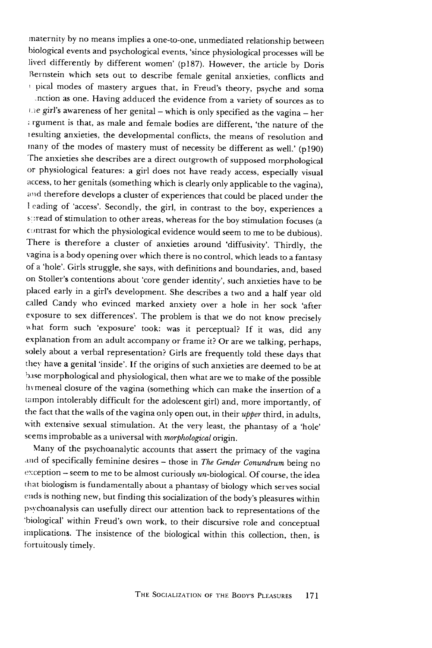maternity by no means implies a one-to-one, unmediated relationship between biological events and psychological events, 'since physiological processes will be lived differently by different women' (pi87). However, the article by Doris Bernstein which sets out to describe female genital anxieties, conflicts and ' pical modes of mastery argues that, in Freud's theory, psyche and soma nction as one. Having adduced the evidence from a variety of sources as to the girl's awareness of her genital - which is only specified as the vagina - her ; rgument is that, as male and female bodies are different, 'the nature of the lesulting anxieties, the developmental conflicts, the means of resolution and many of the modes of mastery must of necessity be different as well.' (pi90) The anxieties she describes are a direct outgrowth of supposed morphological or physiological features: a girl does not have ready access, especially visual access, to her genitals (something which is clearly only applicable to the vagina), and therefore develops a cluster of experiences that could be placed under the 1eading of 'access'. Secondly, the girl, in contrast to the boy, experiences a spread of stimulation to other areas, whereas for the boy stimulation focuses (a contrast for which the physiological evidence would seem to me to be dubious). There is therefore a cluster of anxieties around 'diffusivity'. Thirdly, the vagina is a body opening over which there is no control, which leads to a fantasy ofa 'hole'. Girls struggle, she says, with definitions and boundaries, and, based on Stoller's contentions about 'core gender identity', such anxieties have to be placed early in a girl's development. She describes a two and a half year old called Candy who evinced marked anxiety over a hole in her sock 'after exposure to sex differences'. The problem is that we do not know precisely what form such 'exposure' took: was it perceptual? If it was, did any explanation from an adult accompany or frame it? Or are we talking, perhaps, solely about a verbal representation? Girls are frequently told these days that they have a genital 'inside'. If the origins of such anxieties are deemed to be at base morphological and physiological, then what are we to make of the possible hymeneal closure of the vagina (something which can make the insertion of a tampon intolerably difficult for the adolescent girl) and, more importantly, of the fact that the walls of the vagina only open out, in their *upper* third, in adults, with extensive sexual stimulation. At the very least, the phantasy of a 'hole' seems improbable as a universal with *morphological* origin.

Many of the psychoanalytic accounts that assert the primacy of the vagina and of specifically feminine desires - those in The Gender Conundrum being no exception  $-$  seem to me to be almost curiously un-biological. Of course, the idea that biologism is fundamentally about a phantasy of biology which serves social ends is nothing new, but finding this socialization of the body's pleasures within psychoanalysis can usefully direct our attention back to representations of the biological' within Freud's own work, to their discursive role and conceptual implications. The insistence of the biological within this collection, then, is fortuitously timely.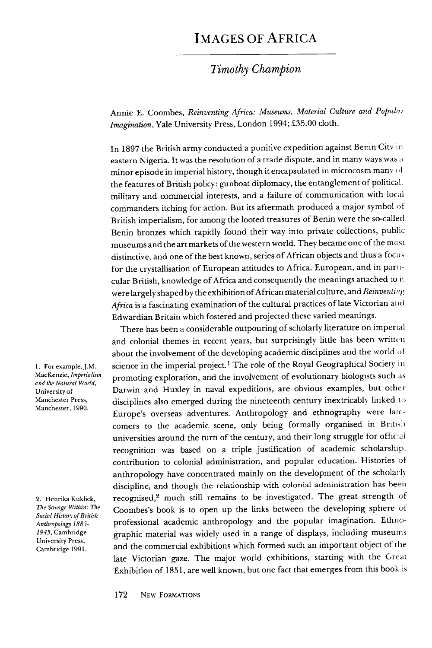## Images of Africa

## **Timothy Champion**

Annie E. Coombes, **Reinventing Africa: Museums, Material Culture and Populai Imagination,** Yale University Press, London 1994; £35.00 cloth.

In 1897 the British army conducted a punitive expedition against Benin City in eastern Nigeria. It was the resolution of a trade dispute, and in many ways was a minor episode in imperial history, though it encapsulated in microcosm many of the features of British policy: gunboat diplomacy, the entanglement of political. military and commercial interests, and a failure of communication with local commanders itching for action. But its aftermath produced a major symbol of British imperialism, for among the looted treasures of Benin were the so-called Benin bronzes which rapidly found their way into private collections, public museums and the art markets of the western world. They became one of the most distinctive, and one of the best known, series of African objects and thus a focus for the crystallisation of European attitudes to Africa. European, and in parti cular British, knowledge of Africa and consequently the meanings attached to it were largely shaped by the exhibition of African material culture, and Reinventing Africa is a fascinating examination of the cultural practices of late Victorian and Edwardian Britain which fostered and projected these varied meanings.

There has been a considerable outpouring of scholarly literature on imperial and colonial themes in recent years, but surprisingly little has been written about the involvement of the developing academic disciplines and the world of science in the imperial project.<sup>1</sup> The role of the Royal Geographical Society in promoting exploration, and the involvement of evolutionary biologists such as Darwin and Huxley in naval expeditions, are obvious examples, but other disciplines also emerged during the nineteenth century inextricably linked to Europe's overseas adventures. Anthropology and ethnography were late comers to the academic scene, only being formally organised in British universities around the turn of the century, and their long struggle for official recognition was based on a triple justification of academic scholarship, contribution to colonial administration, and popular education. Histories of anthropology have concentrated mainly on the development of the scholarly discipline, and though the relationship with colonial administration has been recognised,2 much still remains to be investigated. The great strength of Coombes's book is to open up the links between the developing sphere of professional academic anthropology and the popular imagination. Ethno graphic material was widely used in a range of displays, including museums and the commercial exhibitions which formed such an important object of the late Victorian gaze. The major world exhibitions, starting with the Great Exhibition of 1851, are well known, but one fact that emerges from this book is

1. For example, J.M. MacKenzie, **Imperialism and the Natural World,** University of Manchester Press, Manchester, 1990.

2. Henrika Kuklick, **TheSavageWithin: The SocialHistory ofBritish Anthropology 1885- 1945,** Cambridge University Press, Cambridge 1991.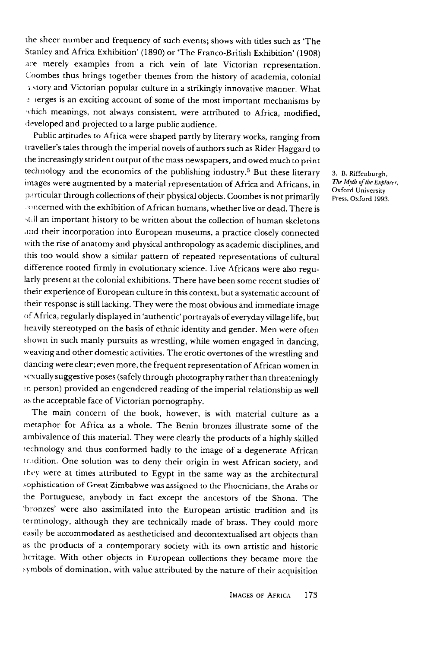the sheer number and frequency of such events; shows with titles such as 'The Stanley and Africa Exhibition' (1890) or 'The Franco-British Exhibition' (1908) are merely examples from a rich vein of late Victorian representation. Coombes thus brings together themes from the history of academia, colonial i story and Victorian popular culture in a strikingly innovative manner. What e lerges is an exciting account of some of the most important mechanisms by which meanings, not always consistent, were attributed to Africa, modified, developed and projected to a large public audience.

Public attitudes to Africa were shaped partly by literary works, ranging from traveller's tales through the imperial novels of authors such as Rider Haggard to the increasingly strident output of the mass newspapers, and owed much to print technology and the economics of the publishing industry.3 But these literary images were augmented by a material representation of Africa and Africans, in particular through collections of their physical objects. Coombes is not primarily : oncerned with the exhibition of African humans, whether live or dead. There is stell an important history to be written about the collection of human skeletons and their incorporation into European museums, a practice closely connected with the rise of anatomy and physical anthropology as academic disciplines, and this too would show a similar pattern of repeated representations of cultural difference rooted firmly in evolutionary science. Live Africans were also regu larly present at the colonial exhibitions. There have been some recent studies of their experience of European culture in this context, but a systematic account of their response is still lacking. They were the most obvious and immediate image of Africa, regularly displayed in 'authentic' portrayals of everyday village life, but heavily stereotyped on the basis of ethnic identityand gender. Menwere often shown in such manly pursuits as wrestling, while women engaged in dancing, weaving and other domestic activities. The erotic overtones of the wrestling and dancing were clear; even more, the frequent representation of African women in sexually suggestive poses (safely through photography rather than threateningly in person) provided an engendered reading of the imperial relationship as well as the acceptable face of Victorian pornography.

The main concern of the book, however, is with material culture as a metaphor for Africa as a whole. The Benin bronzes illustrate some of the ambivalence of this material. They were clearly the products of a highly skilled technology and thus conformed badly to the image of a degenerate African tradition. One solution was to deny their origin in west African society, and ihey were at times attributed to Egypt in the same way as the architectural sophistication of Great Zimbabwe was assigned to the Phoenicians, the Arabs or the Portuguese, anybody in fact except the ancestors of the Shona. The 'bronzes' were also assimilated into the European artistic tradition and its terminology, although they are technically made of brass. They could more easily be accommodated as aestheticised and decontextualised art objects than as the products of a contemporary society with its own artistic and historic heritage. With other objects in European collections they became more the symbols of domination, with value attributed by the nature of their acquisition

3. B. Riffenburgh, **The Myth of the Explorer,** Oxford University Press, Oxford 1993.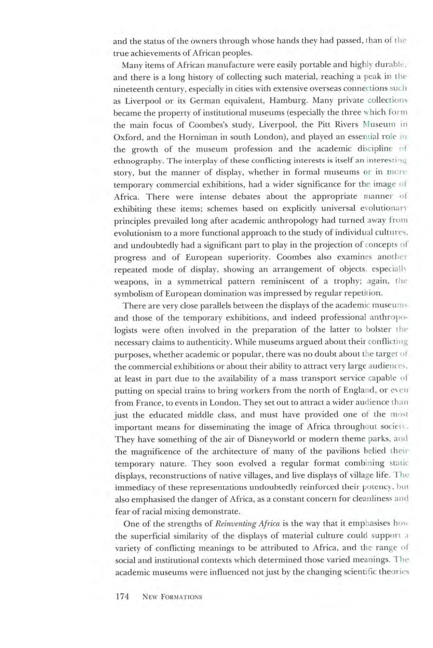and the status of the owners through whose hands they had passed, than of the true achievements of African peoples.

Many items of African manufacture were easily portable and highly durable, and there is a long history of collecting such material, reaching a peak in the nineteenth century, especially in cities with extensive overseas connections such as Liverpool or its German equivalent, Hamburg. Many private collections became the property of institutional museums (especially the three which form the main focus of Coombes's study, Liverpool, the Pitt Rivers Museum in Oxford, and the Horniman in south London), and played an essential role in the growth of the museum profession and the academic discipline of ethnography. The interplay of these conflicting interests is itself an interesting story, but the manner of display, whether in formal museums or in more temporary commercial exhibitions, had a wider significance for the image ol Africa. There were intense debates about the appropriate manner of exhibiting these items; schemes based on explicitly universal evolutionary principles prevailed long after academic anthropology had turned away from evolutionism to a more functional approach to the study of individual cultures, and undoubtedly had a significant part to play in the projection of concepts of progress and of European superiority. Coombes also examines another repeated mode of display, showing an arrangement of objects, especially weapons, in a symmetrical pattern reminiscent of a trophy; again, the symbolismof European domination wasimpressed by regular repetition.

There are very close parallels between the displays of the academic museums and those of the temporary exhibitions, and indeed professional anthropo logists were often involved in the preparation of the latter to bolster the necessary claims to authenticity. While museums argued about their conflicting purposes, whether academic or popular, there was no doubt about the target of the commercial exhibitions or about their ability to attract very large audiences, at least in part due to the availability of a mass transport service capable of putting on special trains to bring workers from the north of England, or even from France, to events in London. They set out to attract a wider audience than just the educated middle class, and must have provided one of the most important means for disseminating the image of Africa throughout society. They have something of the air of Disneyworld or modern theme parks, and the magnificence of the architecture of many of the pavilions belied their temporary nature. They soon evolved a regular format combining static displays, reconstructions of native villages, and live displays of village life. The immediacy of these representations undoubtedly reinforced their potency, but also emphasised the danger of Africa, as a constant concern for cleanliness and fear of racial mixing demonstrate.

One of the strengths of **Reinventing Africa** is the way that it emphasises how the superficial similarity of the displays of material culture could support a variety of conflicting meanings to be attributed to Africa, and the range of social and institutional contexts which determined those varied meanings. The academic museums were influenced not just by the changing scientific theories